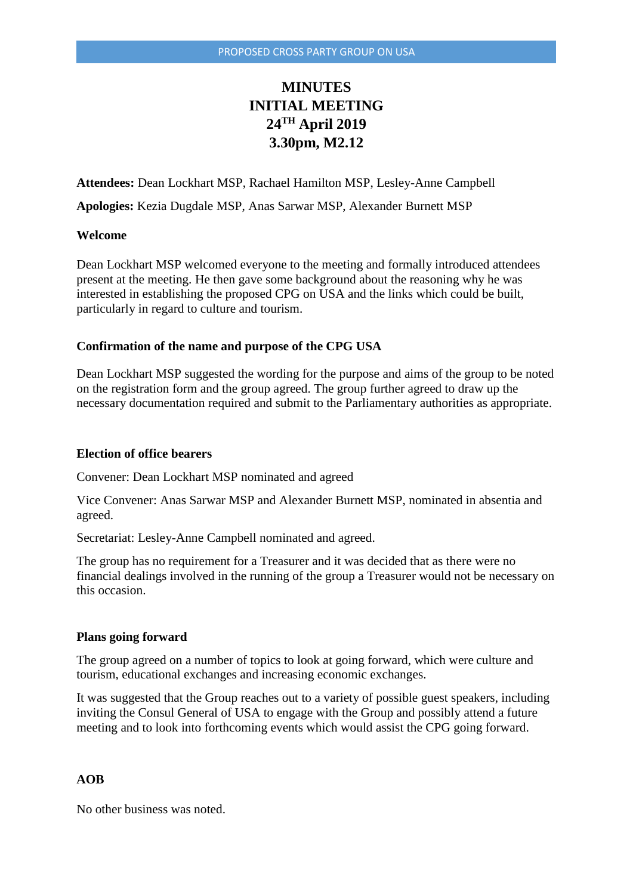# **MINUTES INITIAL MEETING 24TH April 2019 3.30pm, M2.12**

**Attendees:** Dean Lockhart MSP, Rachael Hamilton MSP, Lesley-Anne Campbell

**Apologies:** Kezia Dugdale MSP, Anas Sarwar MSP, Alexander Burnett MSP

#### **Welcome**

Dean Lockhart MSP welcomed everyone to the meeting and formally introduced attendees present at the meeting. He then gave some background about the reasoning why he was interested in establishing the proposed CPG on USA and the links which could be built, particularly in regard to culture and tourism.

### **Confirmation of the name and purpose of the CPG USA**

Dean Lockhart MSP suggested the wording for the purpose and aims of the group to be noted on the registration form and the group agreed. The group further agreed to draw up the necessary documentation required and submit to the Parliamentary authorities as appropriate.

#### **Election of office bearers**

Convener: Dean Lockhart MSP nominated and agreed

Vice Convener: Anas Sarwar MSP and Alexander Burnett MSP, nominated in absentia and agreed.

Secretariat: Lesley-Anne Campbell nominated and agreed.

The group has no requirement for a Treasurer and it was decided that as there were no financial dealings involved in the running of the group a Treasurer would not be necessary on this occasion.

#### **Plans going forward**

The group agreed on a number of topics to look at going forward, which were culture and tourism, educational exchanges and increasing economic exchanges.

It was suggested that the Group reaches out to a variety of possible guest speakers, including inviting the Consul General of USA to engage with the Group and possibly attend a future meeting and to look into forthcoming events which would assist the CPG going forward.

## **AOB**

No other business was noted.